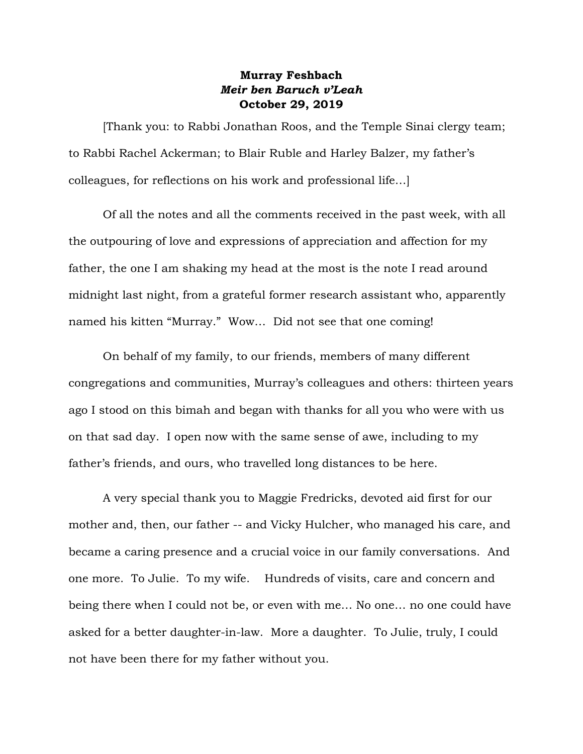## **Murray Feshbach** *Meir ben Baruch v'Leah* **October 29, 2019**

[Thank you: to Rabbi Jonathan Roos, and the Temple Sinai clergy team; to Rabbi Rachel Ackerman; to Blair Ruble and Harley Balzer, my father's colleagues, for reflections on his work and professional life…]

Of all the notes and all the comments received in the past week, with all the outpouring of love and expressions of appreciation and affection for my father, the one I am shaking my head at the most is the note I read around midnight last night, from a grateful former research assistant who, apparently named his kitten "Murray." Wow… Did not see that one coming!

On behalf of my family, to our friends, members of many different congregations and communities, Murray's colleagues and others: thirteen years ago I stood on this bimah and began with thanks for all you who were with us on that sad day. I open now with the same sense of awe, including to my father's friends, and ours, who travelled long distances to be here.

A very special thank you to Maggie Fredricks, devoted aid first for our mother and, then, our father -- and Vicky Hulcher, who managed his care, and became a caring presence and a crucial voice in our family conversations. And one more. To Julie. To my wife. Hundreds of visits, care and concern and being there when I could not be, or even with me… No one… no one could have asked for a better daughter-in-law. More a daughter. To Julie, truly, I could not have been there for my father without you.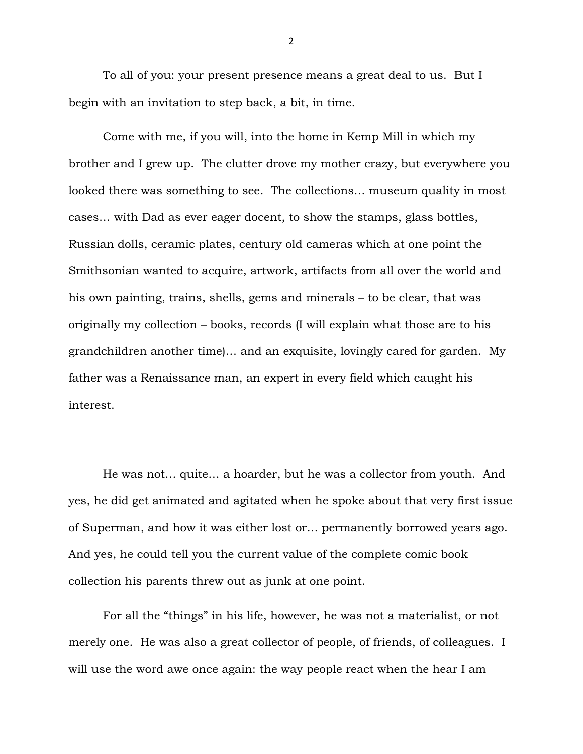To all of you: your present presence means a great deal to us. But I begin with an invitation to step back, a bit, in time.

Come with me, if you will, into the home in Kemp Mill in which my brother and I grew up. The clutter drove my mother crazy, but everywhere you looked there was something to see. The collections… museum quality in most cases… with Dad as ever eager docent, to show the stamps, glass bottles, Russian dolls, ceramic plates, century old cameras which at one point the Smithsonian wanted to acquire, artwork, artifacts from all over the world and his own painting, trains, shells, gems and minerals – to be clear, that was originally my collection – books, records (I will explain what those are to his grandchildren another time)… and an exquisite, lovingly cared for garden. My father was a Renaissance man, an expert in every field which caught his interest.

He was not… quite… a hoarder, but he was a collector from youth. And yes, he did get animated and agitated when he spoke about that very first issue of Superman, and how it was either lost or… permanently borrowed years ago. And yes, he could tell you the current value of the complete comic book collection his parents threw out as junk at one point.

For all the "things" in his life, however, he was not a materialist, or not merely one. He was also a great collector of people, of friends, of colleagues. I will use the word awe once again: the way people react when the hear I am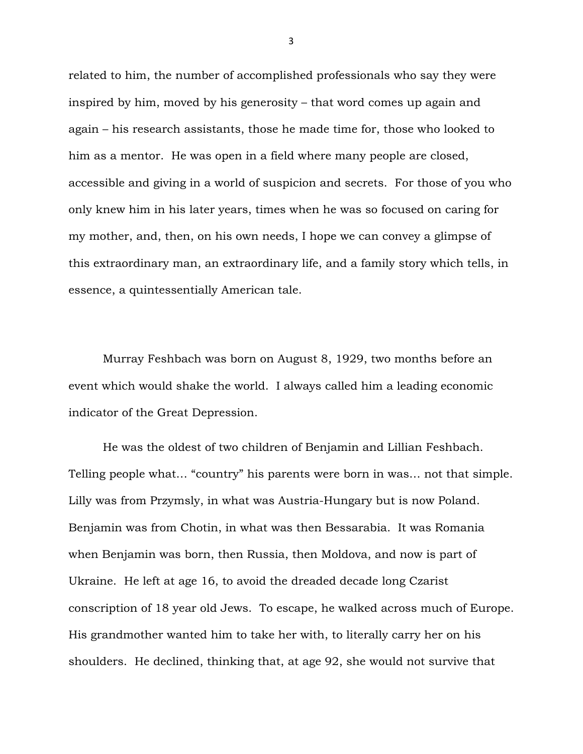related to him, the number of accomplished professionals who say they were inspired by him, moved by his generosity – that word comes up again and again – his research assistants, those he made time for, those who looked to him as a mentor. He was open in a field where many people are closed, accessible and giving in a world of suspicion and secrets. For those of you who only knew him in his later years, times when he was so focused on caring for my mother, and, then, on his own needs, I hope we can convey a glimpse of this extraordinary man, an extraordinary life, and a family story which tells, in essence, a quintessentially American tale.

Murray Feshbach was born on August 8, 1929, two months before an event which would shake the world. I always called him a leading economic indicator of the Great Depression.

He was the oldest of two children of Benjamin and Lillian Feshbach. Telling people what… "country" his parents were born in was… not that simple. Lilly was from Przymsly, in what was Austria-Hungary but is now Poland. Benjamin was from Chotin, in what was then Bessarabia. It was Romania when Benjamin was born, then Russia, then Moldova, and now is part of Ukraine. He left at age 16, to avoid the dreaded decade long Czarist conscription of 18 year old Jews. To escape, he walked across much of Europe. His grandmother wanted him to take her with, to literally carry her on his shoulders. He declined, thinking that, at age 92, she would not survive that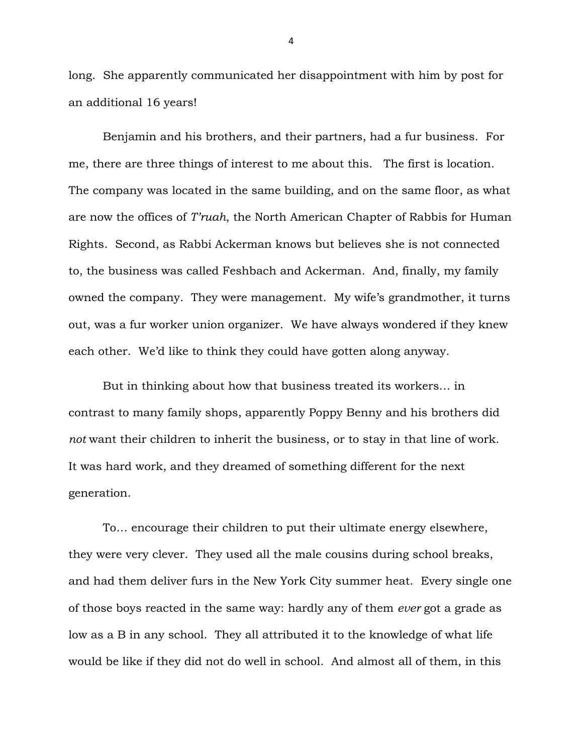long. She apparently communicated her disappointment with him by post for an additional 16 years!

Benjamin and his brothers, and their partners, had a fur business. For me, there are three things of interest to me about this. The first is location. The company was located in the same building, and on the same floor, as what are now the offices of *T'ruah*, the North American Chapter of Rabbis for Human Rights. Second, as Rabbi Ackerman knows but believes she is not connected to, the business was called Feshbach and Ackerman. And, finally, my family owned the company. They were management. My wife's grandmother, it turns out, was a fur worker union organizer. We have always wondered if they knew each other. We'd like to think they could have gotten along anyway.

But in thinking about how that business treated its workers… in contrast to many family shops, apparently Poppy Benny and his brothers did *not* want their children to inherit the business, or to stay in that line of work. It was hard work, and they dreamed of something different for the next generation.

To… encourage their children to put their ultimate energy elsewhere, they were very clever. They used all the male cousins during school breaks, and had them deliver furs in the New York City summer heat. Every single one of those boys reacted in the same way: hardly any of them *ever* got a grade as low as a B in any school. They all attributed it to the knowledge of what life would be like if they did not do well in school. And almost all of them, in this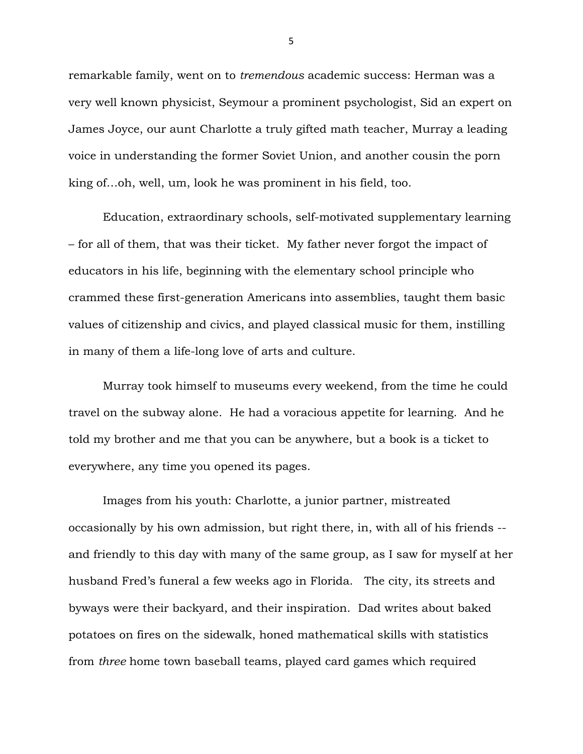remarkable family, went on to *tremendous* academic success: Herman was a very well known physicist, Seymour a prominent psychologist, Sid an expert on James Joyce, our aunt Charlotte a truly gifted math teacher, Murray a leading voice in understanding the former Soviet Union, and another cousin the porn king of…oh, well, um, look he was prominent in his field, too.

Education, extraordinary schools, self-motivated supplementary learning – for all of them, that was their ticket. My father never forgot the impact of educators in his life, beginning with the elementary school principle who crammed these first-generation Americans into assemblies, taught them basic values of citizenship and civics, and played classical music for them, instilling in many of them a life-long love of arts and culture.

Murray took himself to museums every weekend, from the time he could travel on the subway alone. He had a voracious appetite for learning. And he told my brother and me that you can be anywhere, but a book is a ticket to everywhere, any time you opened its pages.

Images from his youth: Charlotte, a junior partner, mistreated occasionally by his own admission, but right there, in, with all of his friends - and friendly to this day with many of the same group, as I saw for myself at her husband Fred's funeral a few weeks ago in Florida. The city, its streets and byways were their backyard, and their inspiration. Dad writes about baked potatoes on fires on the sidewalk, honed mathematical skills with statistics from *three* home town baseball teams, played card games which required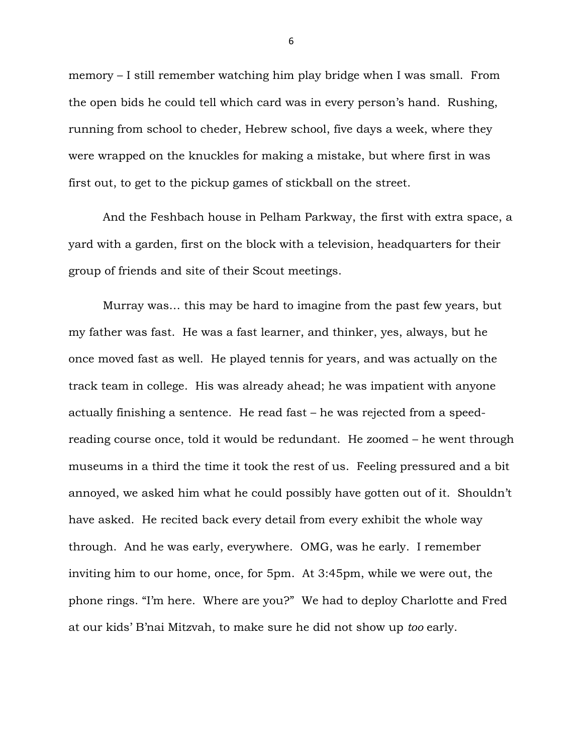memory – I still remember watching him play bridge when I was small. From the open bids he could tell which card was in every person's hand. Rushing, running from school to cheder, Hebrew school, five days a week, where they were wrapped on the knuckles for making a mistake, but where first in was first out, to get to the pickup games of stickball on the street.

And the Feshbach house in Pelham Parkway, the first with extra space, a yard with a garden, first on the block with a television, headquarters for their group of friends and site of their Scout meetings.

Murray was… this may be hard to imagine from the past few years, but my father was fast. He was a fast learner, and thinker, yes, always, but he once moved fast as well. He played tennis for years, and was actually on the track team in college. His was already ahead; he was impatient with anyone actually finishing a sentence. He read fast – he was rejected from a speedreading course once, told it would be redundant. He zoomed – he went through museums in a third the time it took the rest of us. Feeling pressured and a bit annoyed, we asked him what he could possibly have gotten out of it. Shouldn't have asked. He recited back every detail from every exhibit the whole way through. And he was early, everywhere. OMG, was he early. I remember inviting him to our home, once, for 5pm. At 3:45pm, while we were out, the phone rings. "I'm here. Where are you?" We had to deploy Charlotte and Fred at our kids' B'nai Mitzvah, to make sure he did not show up *too* early.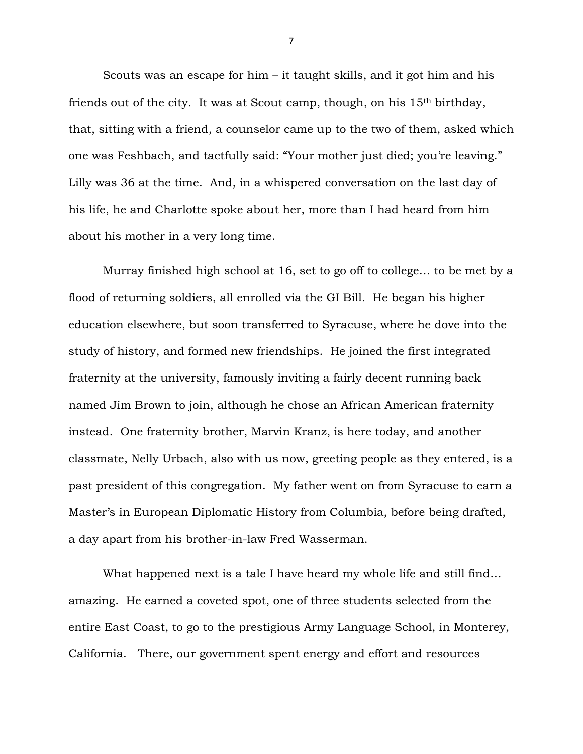Scouts was an escape for him – it taught skills, and it got him and his friends out of the city. It was at Scout camp, though, on his 15th birthday, that, sitting with a friend, a counselor came up to the two of them, asked which one was Feshbach, and tactfully said: "Your mother just died; you're leaving." Lilly was 36 at the time. And, in a whispered conversation on the last day of his life, he and Charlotte spoke about her, more than I had heard from him about his mother in a very long time.

Murray finished high school at 16, set to go off to college… to be met by a flood of returning soldiers, all enrolled via the GI Bill. He began his higher education elsewhere, but soon transferred to Syracuse, where he dove into the study of history, and formed new friendships. He joined the first integrated fraternity at the university, famously inviting a fairly decent running back named Jim Brown to join, although he chose an African American fraternity instead. One fraternity brother, Marvin Kranz, is here today, and another classmate, Nelly Urbach, also with us now, greeting people as they entered, is a past president of this congregation. My father went on from Syracuse to earn a Master's in European Diplomatic History from Columbia, before being drafted, a day apart from his brother-in-law Fred Wasserman.

What happened next is a tale I have heard my whole life and still find… amazing. He earned a coveted spot, one of three students selected from the entire East Coast, to go to the prestigious Army Language School, in Monterey, California. There, our government spent energy and effort and resources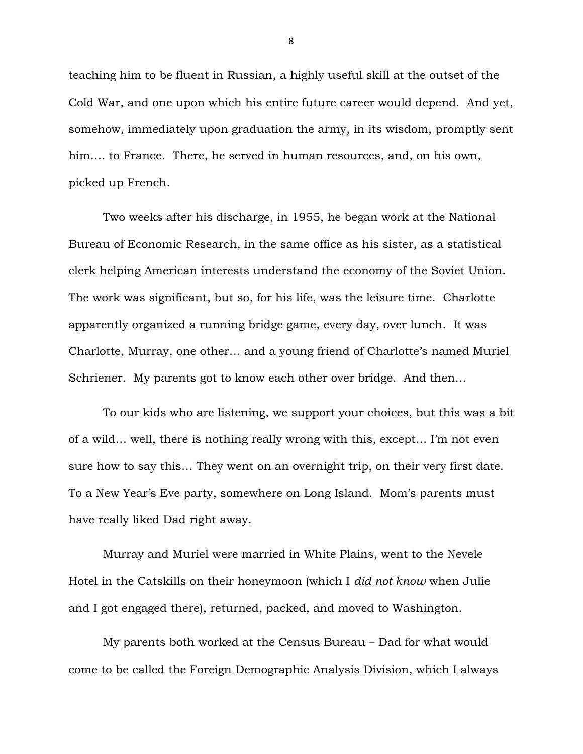teaching him to be fluent in Russian, a highly useful skill at the outset of the Cold War, and one upon which his entire future career would depend. And yet, somehow, immediately upon graduation the army, in its wisdom, promptly sent him…. to France. There, he served in human resources, and, on his own, picked up French.

Two weeks after his discharge, in 1955, he began work at the National Bureau of Economic Research, in the same office as his sister, as a statistical clerk helping American interests understand the economy of the Soviet Union. The work was significant, but so, for his life, was the leisure time. Charlotte apparently organized a running bridge game, every day, over lunch. It was Charlotte, Murray, one other… and a young friend of Charlotte's named Muriel Schriener. My parents got to know each other over bridge. And then...

To our kids who are listening, we support your choices, but this was a bit of a wild… well, there is nothing really wrong with this, except… I'm not even sure how to say this… They went on an overnight trip, on their very first date. To a New Year's Eve party, somewhere on Long Island. Mom's parents must have really liked Dad right away.

Murray and Muriel were married in White Plains, went to the Nevele Hotel in the Catskills on their honeymoon (which I *did not know* when Julie and I got engaged there), returned, packed, and moved to Washington.

My parents both worked at the Census Bureau – Dad for what would come to be called the Foreign Demographic Analysis Division, which I always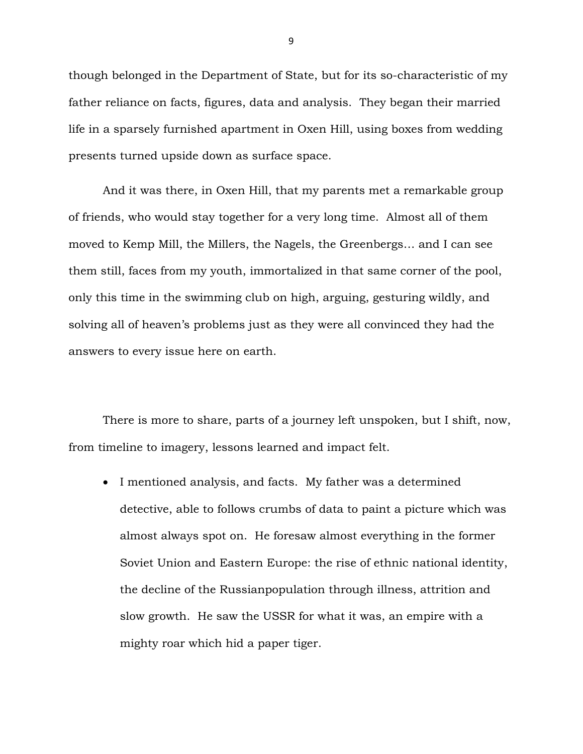though belonged in the Department of State, but for its so-characteristic of my father reliance on facts, figures, data and analysis. They began their married life in a sparsely furnished apartment in Oxen Hill, using boxes from wedding presents turned upside down as surface space.

And it was there, in Oxen Hill, that my parents met a remarkable group of friends, who would stay together for a very long time. Almost all of them moved to Kemp Mill, the Millers, the Nagels, the Greenbergs… and I can see them still, faces from my youth, immortalized in that same corner of the pool, only this time in the swimming club on high, arguing, gesturing wildly, and solving all of heaven's problems just as they were all convinced they had the answers to every issue here on earth.

There is more to share, parts of a journey left unspoken, but I shift, now, from timeline to imagery, lessons learned and impact felt.

• I mentioned analysis, and facts. My father was a determined detective, able to follows crumbs of data to paint a picture which was almost always spot on. He foresaw almost everything in the former Soviet Union and Eastern Europe: the rise of ethnic national identity, the decline of the Russianpopulation through illness, attrition and slow growth. He saw the USSR for what it was, an empire with a mighty roar which hid a paper tiger.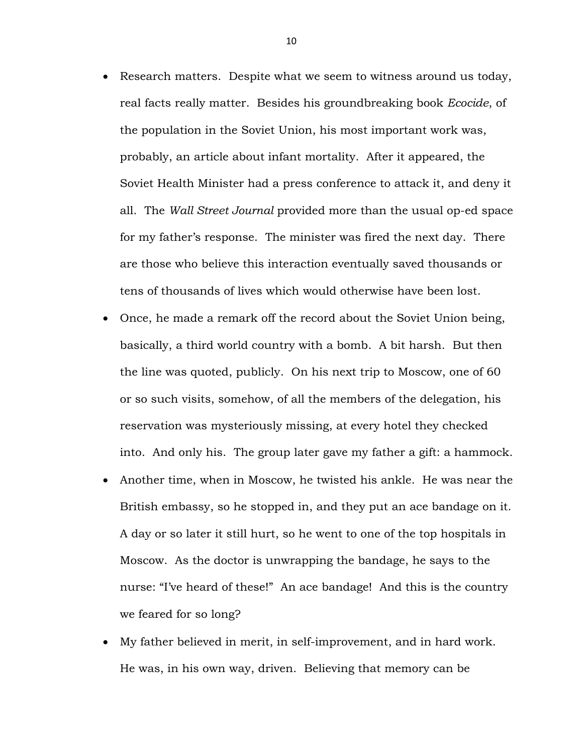- Research matters. Despite what we seem to witness around us today, real facts really matter. Besides his groundbreaking book *Ecocide*, of the population in the Soviet Union, his most important work was, probably, an article about infant mortality. After it appeared, the Soviet Health Minister had a press conference to attack it, and deny it all. The *Wall Street Journal* provided more than the usual op-ed space for my father's response. The minister was fired the next day. There are those who believe this interaction eventually saved thousands or tens of thousands of lives which would otherwise have been lost.
- Once, he made a remark off the record about the Soviet Union being, basically, a third world country with a bomb. A bit harsh. But then the line was quoted, publicly. On his next trip to Moscow, one of 60 or so such visits, somehow, of all the members of the delegation, his reservation was mysteriously missing, at every hotel they checked into. And only his. The group later gave my father a gift: a hammock.
- Another time, when in Moscow, he twisted his ankle. He was near the British embassy, so he stopped in, and they put an ace bandage on it. A day or so later it still hurt, so he went to one of the top hospitals in Moscow. As the doctor is unwrapping the bandage, he says to the nurse: "I've heard of these!" An ace bandage! And this is the country we feared for so long?
- My father believed in merit, in self-improvement, and in hard work. He was, in his own way, driven. Believing that memory can be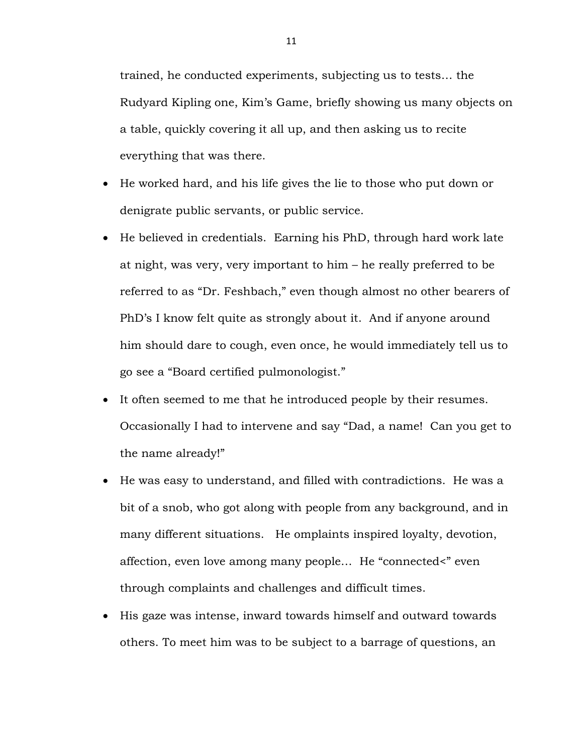trained, he conducted experiments, subjecting us to tests… the Rudyard Kipling one, Kim's Game, briefly showing us many objects on a table, quickly covering it all up, and then asking us to recite everything that was there.

- He worked hard, and his life gives the lie to those who put down or denigrate public servants, or public service.
- He believed in credentials. Earning his PhD, through hard work late at night, was very, very important to him – he really preferred to be referred to as "Dr. Feshbach," even though almost no other bearers of PhD's I know felt quite as strongly about it. And if anyone around him should dare to cough, even once, he would immediately tell us to go see a "Board certified pulmonologist."
- It often seemed to me that he introduced people by their resumes. Occasionally I had to intervene and say "Dad, a name! Can you get to the name already!"
- He was easy to understand, and filled with contradictions. He was a bit of a snob, who got along with people from any background, and in many different situations. He omplaints inspired loyalty, devotion, affection, even love among many people… He "connected<" even through complaints and challenges and difficult times.
- His gaze was intense, inward towards himself and outward towards others. To meet him was to be subject to a barrage of questions, an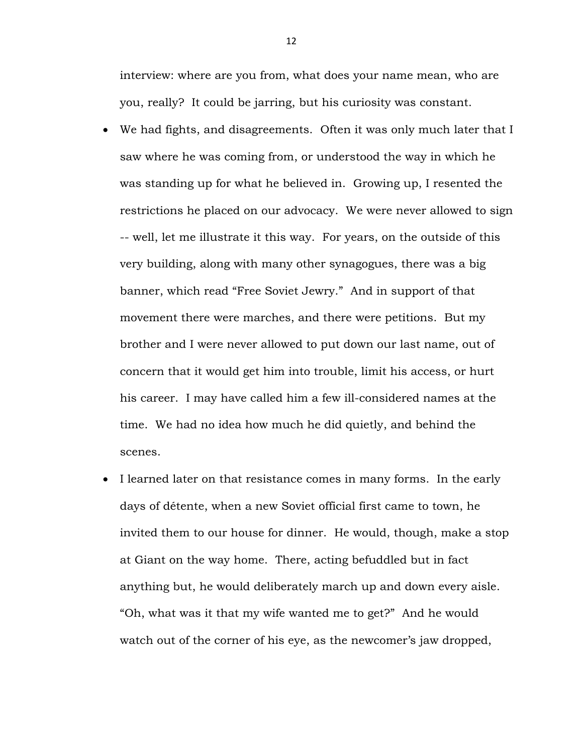interview: where are you from, what does your name mean, who are you, really? It could be jarring, but his curiosity was constant.

- We had fights, and disagreements. Often it was only much later that I saw where he was coming from, or understood the way in which he was standing up for what he believed in. Growing up, I resented the restrictions he placed on our advocacy. We were never allowed to sign -- well, let me illustrate it this way. For years, on the outside of this very building, along with many other synagogues, there was a big banner, which read "Free Soviet Jewry." And in support of that movement there were marches, and there were petitions. But my brother and I were never allowed to put down our last name, out of concern that it would get him into trouble, limit his access, or hurt his career. I may have called him a few ill-considered names at the time. We had no idea how much he did quietly, and behind the scenes.
- I learned later on that resistance comes in many forms. In the early days of détente, when a new Soviet official first came to town, he invited them to our house for dinner. He would, though, make a stop at Giant on the way home. There, acting befuddled but in fact anything but, he would deliberately march up and down every aisle. "Oh, what was it that my wife wanted me to get?" And he would watch out of the corner of his eye, as the newcomer's jaw dropped,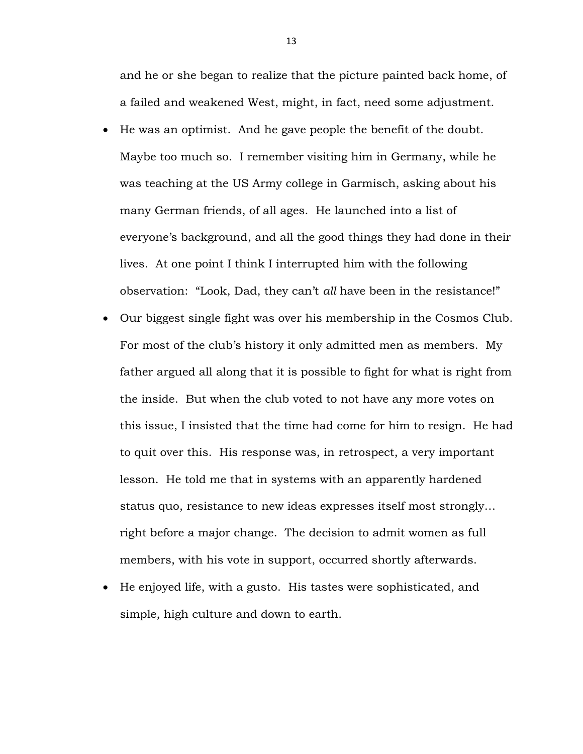and he or she began to realize that the picture painted back home, of a failed and weakened West, might, in fact, need some adjustment.

- He was an optimist. And he gave people the benefit of the doubt. Maybe too much so. I remember visiting him in Germany, while he was teaching at the US Army college in Garmisch, asking about his many German friends, of all ages. He launched into a list of everyone's background, and all the good things they had done in their lives. At one point I think I interrupted him with the following observation: "Look, Dad, they can't *all* have been in the resistance!"
- Our biggest single fight was over his membership in the Cosmos Club. For most of the club's history it only admitted men as members. My father argued all along that it is possible to fight for what is right from the inside. But when the club voted to not have any more votes on this issue, I insisted that the time had come for him to resign. He had to quit over this. His response was, in retrospect, a very important lesson. He told me that in systems with an apparently hardened status quo, resistance to new ideas expresses itself most strongly… right before a major change. The decision to admit women as full members, with his vote in support, occurred shortly afterwards.
- He enjoyed life, with a gusto. His tastes were sophisticated, and simple, high culture and down to earth.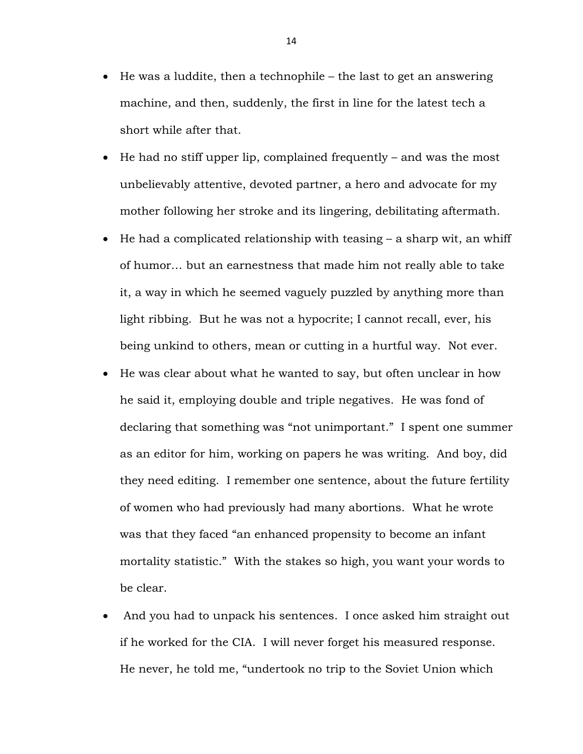- He was a luddite, then a technophile the last to get an answering machine, and then, suddenly, the first in line for the latest tech a short while after that.
- He had no stiff upper lip, complained frequently and was the most unbelievably attentive, devoted partner, a hero and advocate for my mother following her stroke and its lingering, debilitating aftermath.
- He had a complicated relationship with teasing a sharp wit, an whiff of humor… but an earnestness that made him not really able to take it, a way in which he seemed vaguely puzzled by anything more than light ribbing. But he was not a hypocrite; I cannot recall, ever, his being unkind to others, mean or cutting in a hurtful way. Not ever.
- He was clear about what he wanted to say, but often unclear in how he said it, employing double and triple negatives. He was fond of declaring that something was "not unimportant." I spent one summer as an editor for him, working on papers he was writing. And boy, did they need editing. I remember one sentence, about the future fertility of women who had previously had many abortions. What he wrote was that they faced "an enhanced propensity to become an infant mortality statistic." With the stakes so high, you want your words to be clear.
- And you had to unpack his sentences. I once asked him straight out if he worked for the CIA. I will never forget his measured response. He never, he told me, "undertook no trip to the Soviet Union which